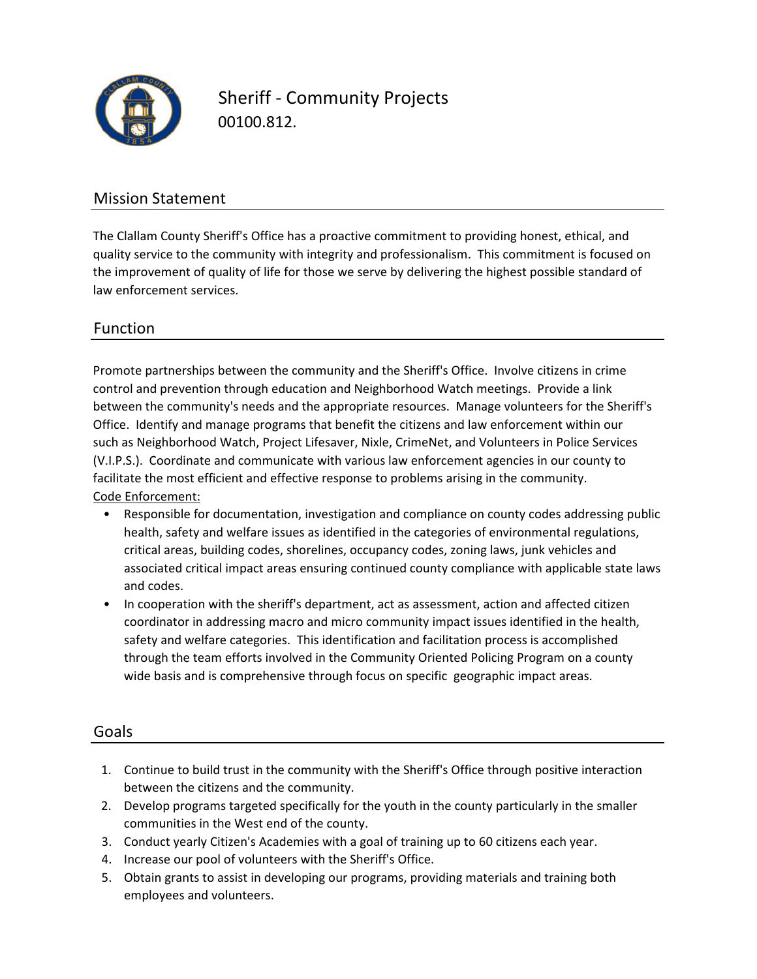

Sheriff ‐ Community Projects 00100.812.

# Mission Statement

The Clallam County Sheriff's Office has a proactive commitment to providing honest, ethical, and quality service to the community with integrity and professionalism. This commitment is focused on the improvement of quality of life for those we serve by delivering the highest possible standard of law enforcement services.

# Function

control and prevention through education and Neighborhood Watch meetings. Provide a link Promote partnerships between the community and the Sheriff's Office. Involve citizens in crime between the community's needs and the appropriate resources. Manage volunteers for the Sheriff's Office. Identify and manage programs that benefit the citizens and law enforcement within our such as Neighborhood Watch, Project Lifesaver, Nixle, CrimeNet, and Volunteers in Police Services (V.I.P.S.). Coordinate and communicate with various law enforcement agencies in our county to Code Enforcement: facilitate the most efficient and effective response to problems arising in the community.

- Responsible for documentation, investigation and compliance on county codes addressing public health, safety and welfare issues as identified in the categories of environmental regulations, critical areas, building codes, shorelines, occupancy codes, zoning laws, junk vehicles and associated critical impact areas ensuring continued county compliance with applicable state laws and codes.
- In cooperation with the sheriff's department, act as assessment, action and affected citizen coordinator in addressing macro and micro community impact issues identified in the health, safety and welfare categories. This identification and facilitation process is accomplished through the team efforts involved in the Community Oriented Policing Program on a county wide basis and is comprehensive through focus on specific geographic impact areas.

#### Goals

- 1. Continue to build trust in the community with the Sheriff's Office through positive interaction between the citizens and the community.
- 2. Develop programs targeted specifically for the youth in the county particularly in the smaller communities in the West end of the county.
- 3. Conduct yearly Citizen's Academies with a goal of training up to 60 citizens each year.
- 4. Increase our pool of volunteers with the Sheriff's Office.
- 5. Obtain grants to assist in developing our programs, providing materials and training both employees and volunteers.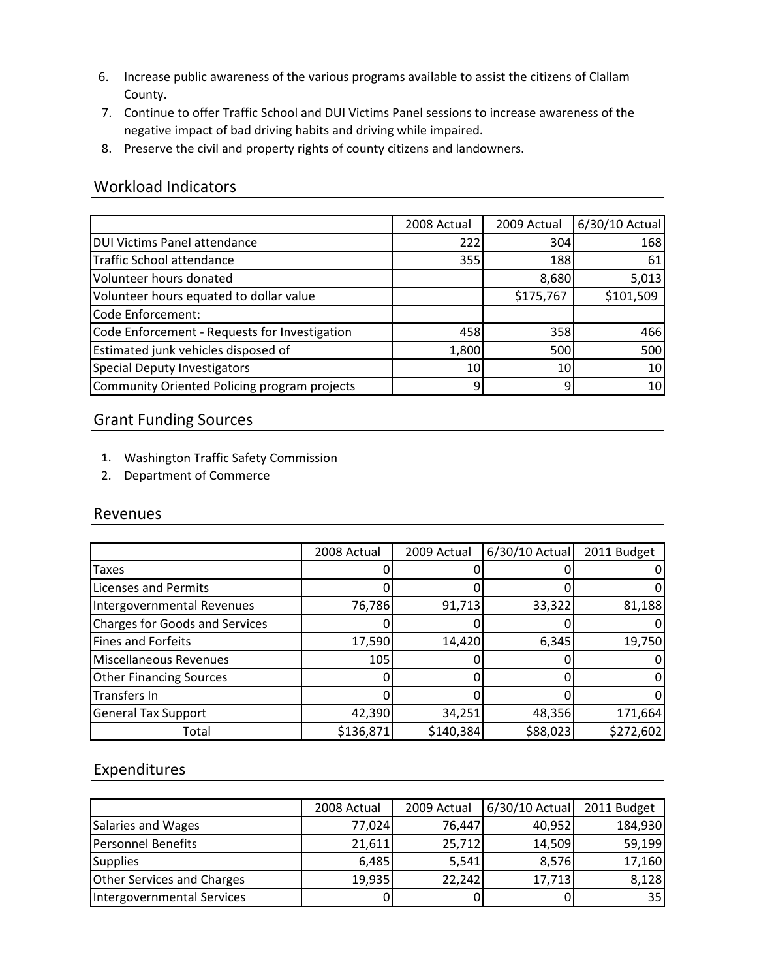- 6. Increase public awareness of the various programs available to assist the citizens of Clallam County.
- 7. Continue to offer Traffic School and DUI Victims Panel sessions to increase awareness of the negative impact of bad driving habits and driving while impaired.
- 8. Preserve the civil and property rights of county citizens and landowners.

# Workload Indicators

|                                               | 2008 Actual | 2009 Actual     | 6/30/10 Actual |
|-----------------------------------------------|-------------|-----------------|----------------|
| <b>DUI Victims Panel attendance</b>           | 222         | 304             | 168            |
| Traffic School attendance                     | 355         | 188             | 61             |
| Volunteer hours donated                       |             | 8,680           | 5,013          |
| Volunteer hours equated to dollar value       |             | \$175,767       | \$101,509      |
| Code Enforcement:                             |             |                 |                |
| Code Enforcement - Requests for Investigation | 458         | 358             | 466            |
| Estimated junk vehicles disposed of           | 1,800       | 500             | 500            |
| Special Deputy Investigators                  | 10I         | 10 <sub>1</sub> | 10             |
| Community Oriented Policing program projects  | 9           | 9               | 10             |

### Grant Funding Sources

- 1 Washington Traffic Safety Commission 1.
- 2. Department of Commerce

#### Revenues

|                                | 2008 Actual | 2009 Actual | 6/30/10 Actual | 2011 Budget |
|--------------------------------|-------------|-------------|----------------|-------------|
| <b>Taxes</b>                   |             |             |                |             |
| Licenses and Permits           |             |             |                |             |
| Intergovernmental Revenues     | 76,786      | 91,713      | 33,322         | 81,188      |
| Charges for Goods and Services |             |             |                |             |
| Fines and Forfeits             | 17,590      | 14,420      | 6,345          | 19,750      |
| Miscellaneous Revenues         | 105         |             |                |             |
| <b>Other Financing Sources</b> |             |             |                |             |
| Transfers In                   |             |             |                |             |
| <b>General Tax Support</b>     | 42,390      | 34,251      | 48,356         | 171,664     |
| Total                          | \$136,871   | \$140,384   | \$88,023       | \$272,602   |

# Expenditures

|                                   | 2008 Actual | 2009 Actual | 6/30/10 Actual | 2011 Budget |
|-----------------------------------|-------------|-------------|----------------|-------------|
| Salaries and Wages                | 77,024      | 76,447      | 40,952         | 184,930     |
| <b>Personnel Benefits</b>         | 21,611      | 25,712      | 14,509         | 59,199      |
| <b>Supplies</b>                   | 6,485       | 5,541       | 8,576          | 17,160      |
| <b>Other Services and Charges</b> | 19,935      | 22,242      | 17,713         | 8,128       |
| Intergovernmental Services        |             |             |                | 35          |